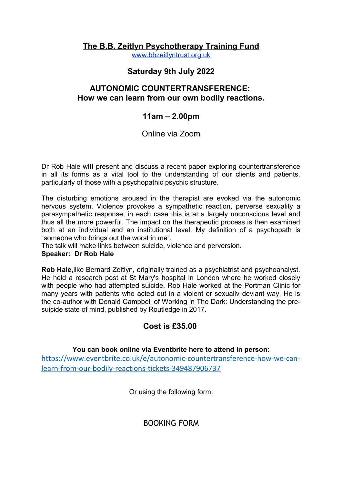# **The B.B. Zeitlyn Psychotherapy Training Fund**

[www.bbzeitlyntrust.org.uk](http://www.bbzeitlyntrust.org.uk/)

## **Saturday 9th July 2022**

## **AUTONOMIC COUNTERTRANSFERENCE: How we can learn from our own bodily reactions.**

### **11am – 2.00pm**

Online via Zoom

Dr Rob Hale wIII present and discuss a recent paper exploring countertransference in all its forms as a vital tool to the understanding of our clients and patients, particularly of those with a psychopathic psychic structure.

The disturbing emotions aroused in the therapist are evoked via the autonomic nervous system. Violence provokes a sympathetic reaction, perverse sexuality a parasympathetic response; in each case this is at a largely unconscious level and thus all the more powerful. The impact on the therapeutic process is then examined both at an individual and an institutional level. My definition of a psychopath is "someone who brings out the worst in me".

The talk will make links between suicide, violence and perversion.

#### **Speaker: Dr Rob Hale**

**Rob Hale**,like Bernard Zeitlyn, originally trained as a psychiatrist and psychoanalyst. He held a research post at St Mary's hospital in London where he worked closely with people who had attempted suicide. Rob Hale worked at the Portman Clinic for many years with patients who acted out in a violent or sexuallv deviant way. He is the co-author with Donald Campbell of Working in The Dark: Understanding the presuicide state of mind, published by Routledge in 2017.

## **Cost is £35.00**

### **You can book online via Eventbrite here to attend in person:**

[https://www.eventbrite.co.uk/e/autonomic-countertransference-how-we-can](https://www.eventbrite.co.uk/e/autonomic-countertransference-how-we-can-learn-from-our-bodily-reactions-tickets-349487906737)[learn-from-our-bodily-reactions-tickets-349487906737](https://www.eventbrite.co.uk/e/autonomic-countertransference-how-we-can-learn-from-our-bodily-reactions-tickets-349487906737)

Or using the following form:

BOOKING FORM